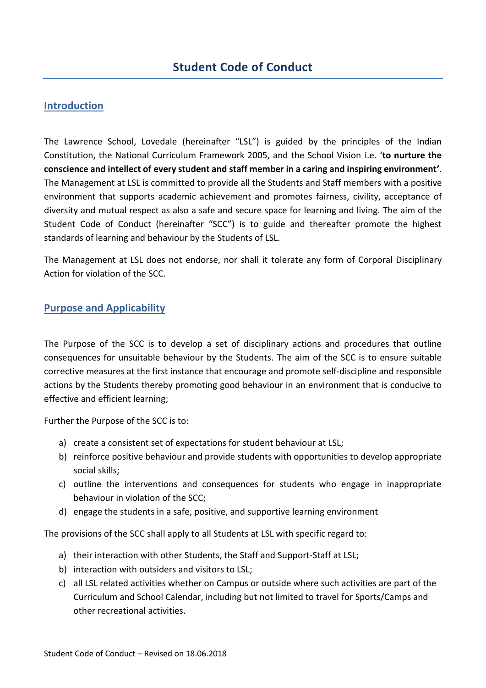#### **Introduction**

The Lawrence School, Lovedale (hereinafter "LSL") is guided by the principles of the Indian Constitution, the National Curriculum Framework 2005, and the School Vision i.e. '**to nurture the conscience and intellect of every student and staff member in a caring and inspiring environment'**. The Management at LSL is committed to provide all the Students and Staff members with a positive environment that supports academic achievement and promotes fairness, civility, acceptance of diversity and mutual respect as also a safe and secure space for learning and living. The aim of the Student Code of Conduct (hereinafter "SCC") is to guide and thereafter promote the highest standards of learning and behaviour by the Students of LSL.

The Management at LSL does not endorse, nor shall it tolerate any form of Corporal Disciplinary Action for violation of the SCC.

#### **Purpose and Applicability**

The Purpose of the SCC is to develop a set of disciplinary actions and procedures that outline consequences for unsuitable behaviour by the Students. The aim of the SCC is to ensure suitable corrective measures at the first instance that encourage and promote self-discipline and responsible actions by the Students thereby promoting good behaviour in an environment that is conducive to effective and efficient learning;

Further the Purpose of the SCC is to:

- a) create a consistent set of expectations for student behaviour at LSL;
- b) reinforce positive behaviour and provide students with opportunities to develop appropriate social skills;
- c) outline the interventions and consequences for students who engage in inappropriate behaviour in violation of the SCC;
- d) engage the students in a safe, positive, and supportive learning environment

The provisions of the SCC shall apply to all Students at LSL with specific regard to:

- a) their interaction with other Students, the Staff and Support-Staff at LSL;
- b) interaction with outsiders and visitors to LSL;
- c) all LSL related activities whether on Campus or outside where such activities are part of the Curriculum and School Calendar, including but not limited to travel for Sports/Camps and other recreational activities.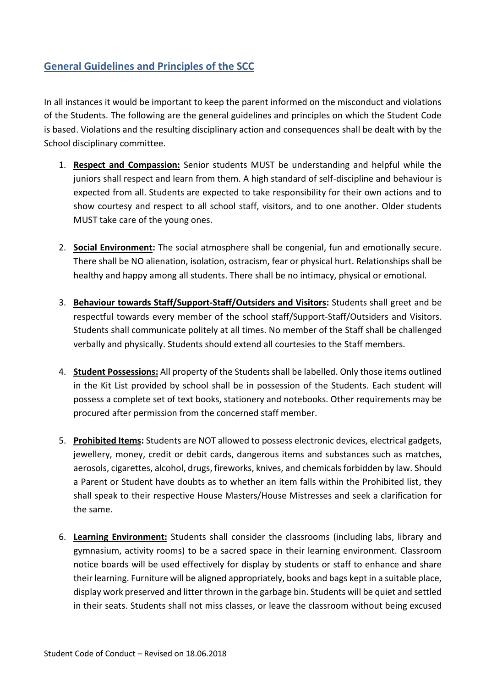## **General Guidelines and Principles of the SCC**

In all instances it would be important to keep the parent informed on the misconduct and violations of the Students. The following are the general guidelines and principles on which the Student Code is based. Violations and the resulting disciplinary action and consequences shall be dealt with by the School disciplinary committee.

- 1. **Respect and Compassion:** Senior students MUST be understanding and helpful while the juniors shall respect and learn from them. A high standard of self-discipline and behaviour is expected from all. Students are expected to take responsibility for their own actions and to show courtesy and respect to all school staff, visitors, and to one another. Older students MUST take care of the young ones.
- 2. **Social Environment:** The social atmosphere shall be congenial, fun and emotionally secure. There shall be NO alienation, isolation, ostracism, fear or physical hurt. Relationships shall be healthy and happy among all students. There shall be no intimacy, physical or emotional.
- 3. **Behaviour towards Staff/Support-Staff/Outsiders and Visitors:** Students shall greet and be respectful towards every member of the school staff/Support-Staff/Outsiders and Visitors. Students shall communicate politely at all times. No member of the Staff shall be challenged verbally and physically. Students should extend all courtesies to the Staff members.
- 4. **Student Possessions:** All property of the Students shall be labelled. Only those items outlined in the Kit List provided by school shall be in possession of the Students. Each student will possess a complete set of text books, stationery and notebooks. Other requirements may be procured after permission from the concerned staff member.
- 5. **Prohibited Items:** Students are NOT allowed to possess electronic devices, electrical gadgets, jewellery, money, credit or debit cards, dangerous items and substances such as matches, aerosols, cigarettes, alcohol, drugs, fireworks, knives, and chemicals forbidden by law. Should a Parent or Student have doubts as to whether an item falls within the Prohibited list, they shall speak to their respective House Masters/House Mistresses and seek a clarification for the same.
- 6. **Learning Environment:** Students shall consider the classrooms (including labs, library and gymnasium, activity rooms) to be a sacred space in their learning environment. Classroom notice boards will be used effectively for display by students or staff to enhance and share their learning. Furniture will be aligned appropriately, books and bags kept in a suitable place, display work preserved and litter thrown in the garbage bin. Students will be quiet and settled in their seats. Students shall not miss classes, or leave the classroom without being excused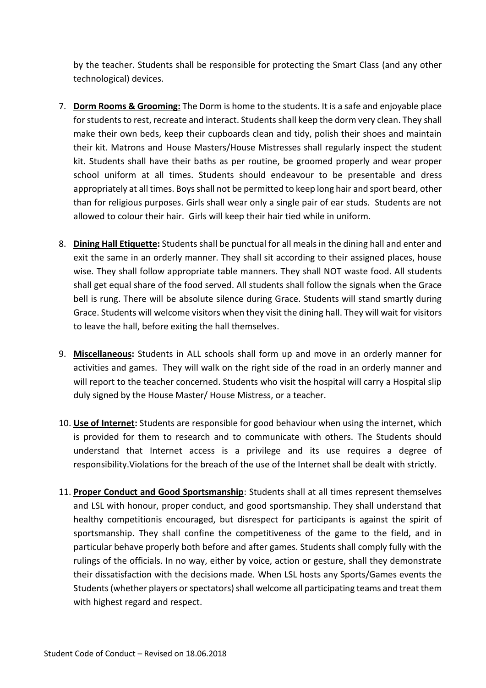by the teacher. Students shall be responsible for protecting the Smart Class (and any other technological) devices.

- 7. **Dorm Rooms & Grooming:** The Dorm is home to the students. It is a safe and enjoyable place for students to rest, recreate and interact. Students shall keep the dorm very clean. They shall make their own beds, keep their cupboards clean and tidy, polish their shoes and maintain their kit. Matrons and House Masters/House Mistresses shall regularly inspect the student kit. Students shall have their baths as per routine, be groomed properly and wear proper school uniform at all times. Students should endeavour to be presentable and dress appropriately at all times. Boys shall not be permitted to keep long hair and sport beard, other than for religious purposes. Girls shall wear only a single pair of ear studs. Students are not allowed to colour their hair. Girls will keep their hair tied while in uniform.
- 8. **Dining Hall Etiquette:** Students shall be punctual for all meals in the dining hall and enter and exit the same in an orderly manner. They shall sit according to their assigned places, house wise. They shall follow appropriate table manners. They shall NOT waste food. All students shall get equal share of the food served. All students shall follow the signals when the Grace bell is rung. There will be absolute silence during Grace. Students will stand smartly during Grace. Students will welcome visitors when they visit the dining hall. They will wait for visitors to leave the hall, before exiting the hall themselves.
- 9. **Miscellaneous:** Students in ALL schools shall form up and move in an orderly manner for activities and games. They will walk on the right side of the road in an orderly manner and will report to the teacher concerned. Students who visit the hospital will carry a Hospital slip duly signed by the House Master/ House Mistress, or a teacher.
- 10. **Use of Internet:** Students are responsible for good behaviour when using the internet, which is provided for them to research and to communicate with others. The Students should understand that Internet access is a privilege and its use requires a degree of responsibility.Violations for the breach of the use of the Internet shall be dealt with strictly.
- 11. **Proper Conduct and Good Sportsmanship**: Students shall at all times represent themselves and LSL with honour, proper conduct, and good sportsmanship. They shall understand that healthy competitionis encouraged, but disrespect for participants is against the spirit of sportsmanship. They shall confine the competitiveness of the game to the field, and in particular behave properly both before and after games. Students shall comply fully with the rulings of the officials. In no way, either by voice, action or gesture, shall they demonstrate their dissatisfaction with the decisions made. When LSL hosts any Sports/Games events the Students (whether players or spectators) shall welcome all participating teams and treat them with highest regard and respect.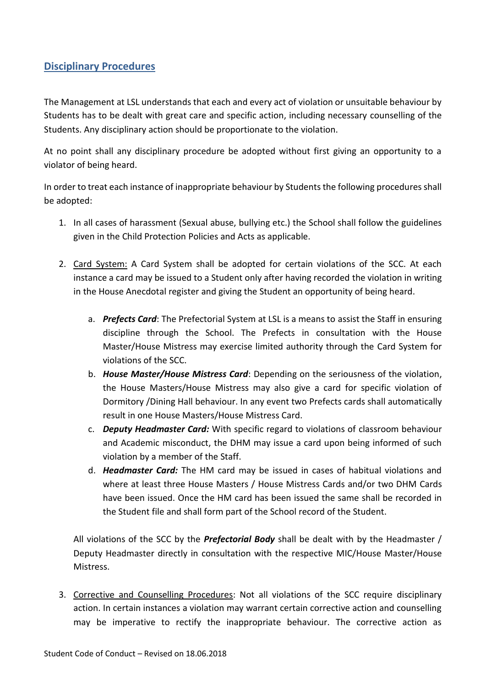## **Disciplinary Procedures**

The Management at LSL understands that each and every act of violation or unsuitable behaviour by Students has to be dealt with great care and specific action, including necessary counselling of the Students. Any disciplinary action should be proportionate to the violation.

At no point shall any disciplinary procedure be adopted without first giving an opportunity to a violator of being heard.

In order to treat each instance of inappropriate behaviour by Students the following procedures shall be adopted:

- 1. In all cases of harassment (Sexual abuse, bullying etc.) the School shall follow the guidelines given in the Child Protection Policies and Acts as applicable.
- 2. Card System: A Card System shall be adopted for certain violations of the SCC. At each instance a card may be issued to a Student only after having recorded the violation in writing in the House Anecdotal register and giving the Student an opportunity of being heard.
	- a. *Prefects Card*: The Prefectorial System at LSL is a means to assist the Staff in ensuring discipline through the School. The Prefects in consultation with the House Master/House Mistress may exercise limited authority through the Card System for violations of the SCC.
	- b. *House Master/House Mistress Card*: Depending on the seriousness of the violation, the House Masters/House Mistress may also give a card for specific violation of Dormitory /Dining Hall behaviour. In any event two Prefects cards shall automatically result in one House Masters/House Mistress Card.
	- c. *Deputy Headmaster Card:* With specific regard to violations of classroom behaviour and Academic misconduct, the DHM may issue a card upon being informed of such violation by a member of the Staff.
	- d. *Headmaster Card:* The HM card may be issued in cases of habitual violations and where at least three House Masters / House Mistress Cards and/or two DHM Cards have been issued. Once the HM card has been issued the same shall be recorded in the Student file and shall form part of the School record of the Student.

All violations of the SCC by the *Prefectorial Body* shall be dealt with by the Headmaster / Deputy Headmaster directly in consultation with the respective MIC/House Master/House Mistress.

3. Corrective and Counselling Procedures: Not all violations of the SCC require disciplinary action. In certain instances a violation may warrant certain corrective action and counselling may be imperative to rectify the inappropriate behaviour. The corrective action as